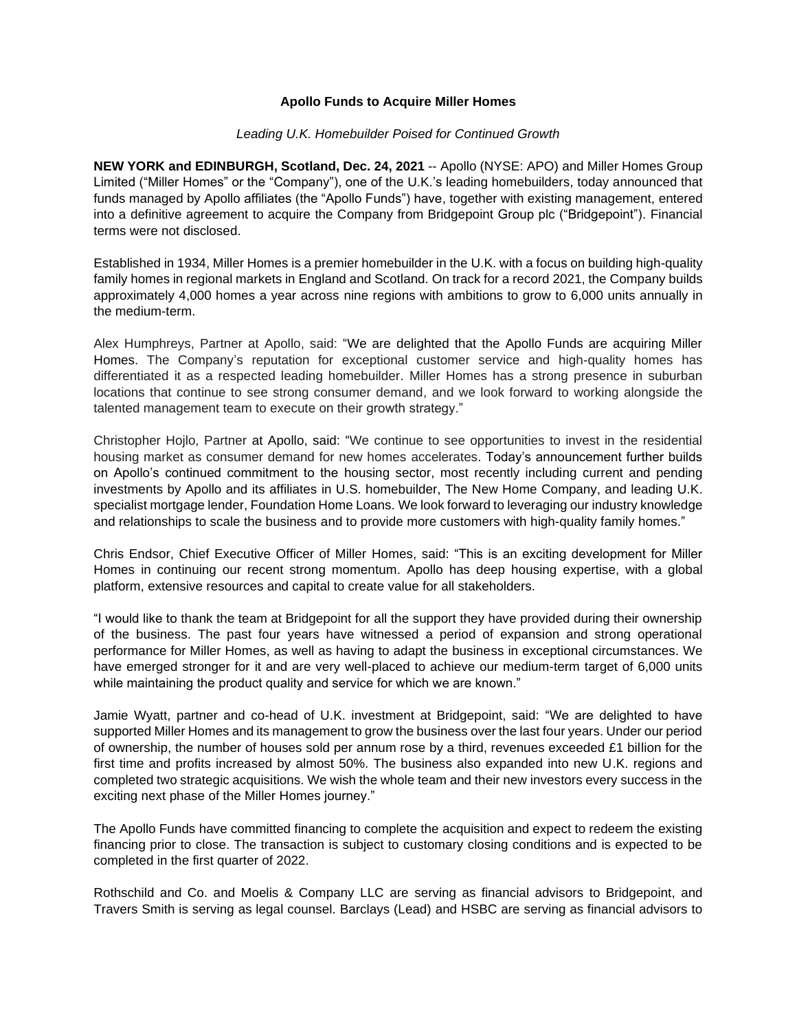## **Apollo Funds to Acquire Miller Homes**

#### *Leading U.K. Homebuilder Poised for Continued Growth*

**NEW YORK and EDINBURGH, Scotland, Dec. 24, 2021** -- Apollo (NYSE: APO) and Miller Homes Group Limited ("Miller Homes" or the "Company"), one of the U.K.'s leading homebuilders, today announced that funds managed by Apollo affiliates (the "Apollo Funds") have, together with existing management, entered into a definitive agreement to acquire the Company from Bridgepoint Group plc ("Bridgepoint"). Financial terms were not disclosed.

Established in 1934, Miller Homes is a premier homebuilder in the U.K. with a focus on building high-quality family homes in regional markets in England and Scotland. On track for a record 2021, the Company builds approximately 4,000 homes a year across nine regions with ambitions to grow to 6,000 units annually in the medium-term.

Alex Humphreys, Partner at Apollo, said: "We are delighted that the Apollo Funds are acquiring Miller Homes. The Company's reputation for exceptional customer service and high-quality homes has differentiated it as a respected leading homebuilder. Miller Homes has a strong presence in suburban locations that continue to see strong consumer demand, and we look forward to working alongside the talented management team to execute on their growth strategy."

Christopher Hojlo, Partner at Apollo, said: "We continue to see opportunities to invest in the residential housing market as consumer demand for new homes accelerates. Today's announcement further builds on Apollo's continued commitment to the housing sector, most recently including current and pending investments by Apollo and its affiliates in U.S. homebuilder, The New Home Company, and leading U.K. specialist mortgage lender, Foundation Home Loans. We look forward to leveraging our industry knowledge and relationships to scale the business and to provide more customers with high-quality family homes."

Chris Endsor, Chief Executive Officer of Miller Homes, said: "This is an exciting development for Miller Homes in continuing our recent strong momentum. Apollo has deep housing expertise, with a global platform, extensive resources and capital to create value for all stakeholders.

"I would like to thank the team at Bridgepoint for all the support they have provided during their ownership of the business. The past four years have witnessed a period of expansion and strong operational performance for Miller Homes, as well as having to adapt the business in exceptional circumstances. We have emerged stronger for it and are very well-placed to achieve our medium-term target of 6,000 units while maintaining the product quality and service for which we are known."

Jamie Wyatt, partner and co-head of U.K. investment at Bridgepoint, said: "We are delighted to have supported Miller Homes and its management to grow the business over the last four years. Under our period of ownership, the number of houses sold per annum rose by a third, revenues exceeded £1 billion for the first time and profits increased by almost 50%. The business also expanded into new U.K. regions and completed two strategic acquisitions. We wish the whole team and their new investors every success in the exciting next phase of the Miller Homes journey."

The Apollo Funds have committed financing to complete the acquisition and expect to redeem the existing financing prior to close. The transaction is subject to customary closing conditions and is expected to be completed in the first quarter of 2022.

Rothschild and Co. and Moelis & Company LLC are serving as financial advisors to Bridgepoint, and Travers Smith is serving as legal counsel. Barclays (Lead) and HSBC are serving as financial advisors to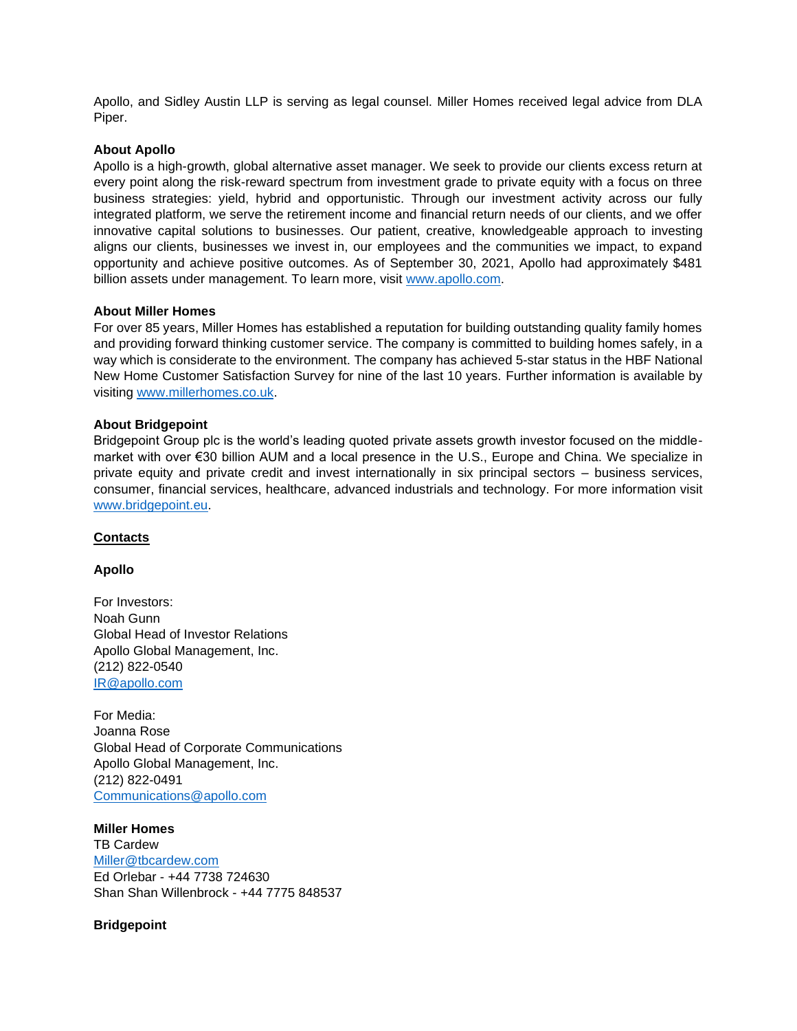Apollo, and Sidley Austin LLP is serving as legal counsel. Miller Homes received legal advice from DLA Piper.

### **About Apollo**

Apollo is a high-growth, global alternative asset manager. We seek to provide our clients excess return at every point along the risk-reward spectrum from investment grade to private equity with a focus on three business strategies: yield, hybrid and opportunistic. Through our investment activity across our fully integrated platform, we serve the retirement income and financial return needs of our clients, and we offer innovative capital solutions to businesses. Our patient, creative, knowledgeable approach to investing aligns our clients, businesses we invest in, our employees and the communities we impact, to expand opportunity and achieve positive outcomes. As of September 30, 2021, Apollo had approximately \$481 billion assets under management. To learn more, visit [www.apollo.com.](http://www.apollo.com/)

### **About Miller Homes**

For over 85 years, Miller Homes has established a reputation for building outstanding quality family homes and providing forward thinking customer service. The company is committed to building homes safely, in a way which is considerate to the environment. The company has achieved 5-star status in the HBF National New Home Customer Satisfaction Survey for nine of the last 10 years. Further information is available by visiting [www.millerhomes.co.uk.](http://www.millerhomes.co.uk/)

## **About Bridgepoint**

Bridgepoint Group plc is the world's leading quoted private assets growth investor focused on the middlemarket with over €30 billion AUM and a local presence in the U.S., Europe and China. We specialize in private equity and private credit and invest internationally in six principal sectors – business services, consumer, financial services, healthcare, advanced industrials and technology. For more information visit [www.bridgepoint.eu.](https://www.bridgepoint.eu/)

### **Contacts**

# **Apollo**

For Investors: Noah Gunn Global Head of Investor Relations Apollo Global Management, Inc. (212) 822-0540 [IR@apollo.com](mailto:IR@apollo.com)

For Media: Joanna Rose Global Head of Corporate Communications Apollo Global Management, Inc. (212) 822-0491 [Communications@apollo.com](mailto:Communications@apollo.com)

**Miller Homes** TB Cardew [Miller@tbcardew.com](mailto:Miller@tbcardew.com) Ed Orlebar - +44 7738 724630 Shan Shan Willenbrock - +44 7775 848537

### **Bridgepoint**